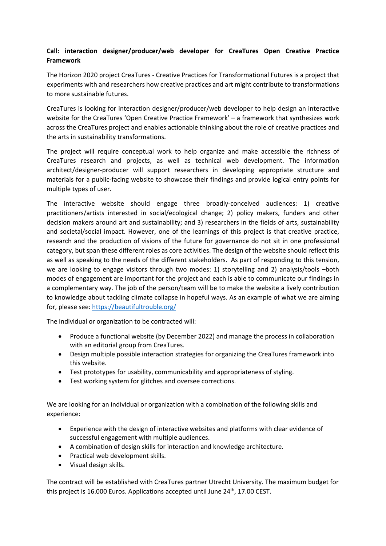## **Call: interaction designer/producer/web developer for CreaTures Open Creative Practice Framework**

The Horizon 2020 project CreaTures - Creative Practices for Transformational Futures is a project that experiments with and researchers how creative practices and art might contribute to transformations to more sustainable futures.

CreaTures is looking for interaction designer/producer/web developer to help design an interactive website for the CreaTures 'Open Creative Practice Framework' – a framework that synthesizes work across the CreaTures project and enables actionable thinking about the role of creative practices and the arts in sustainability transformations.

The project will require conceptual work to help organize and make accessible the richness of CreaTures research and projects, as well as technical web development. The information architect/designer-producer will support researchers in developing appropriate structure and materials for a public-facing website to showcase their findings and provide logical entry points for multiple types of user.

The interactive website should engage three broadly-conceived audiences: 1) creative practitioners/artists interested in social/ecological change; 2) policy makers, funders and other decision makers around art and sustainability; and 3) researchers in the fields of arts, sustainability and societal/social impact. However, one of the learnings of this project is that creative practice, research and the production of visions of the future for governance do not sit in one professional category, but span these different roles as core activities. The design of the website should reflect this as well as speaking to the needs of the different stakeholders. As part of responding to this tension, we are looking to engage visitors through two modes: 1) storytelling and 2) analysis/tools –both modes of engagement are important for the project and each is able to communicate our findings in a complementary way. The job of the person/team will be to make the website a lively contribution to knowledge about tackling climate collapse in hopeful ways. As an example of what we are aiming for, please see:<https://beautifultrouble.org/>

The individual or organization to be contracted will:

- Produce a functional website (by December 2022) and manage the process in collaboration with an editorial group from CreaTures.
- Design multiple possible interaction strategies for organizing the CreaTures framework into this website.
- Test prototypes for usability, communicability and appropriateness of styling.
- Test working system for glitches and oversee corrections.

We are looking for an individual or organization with a combination of the following skills and experience:

- Experience with the design of interactive websites and platforms with clear evidence of successful engagement with multiple audiences.
- A combination of design skills for interaction and knowledge architecture.
- Practical web development skills.
- Visual design skills.

The contract will be established with CreaTures partner Utrecht University. The maximum budget for this project is 16.000 Euros. Applications accepted until June 24<sup>th</sup>, 17.00 CEST.